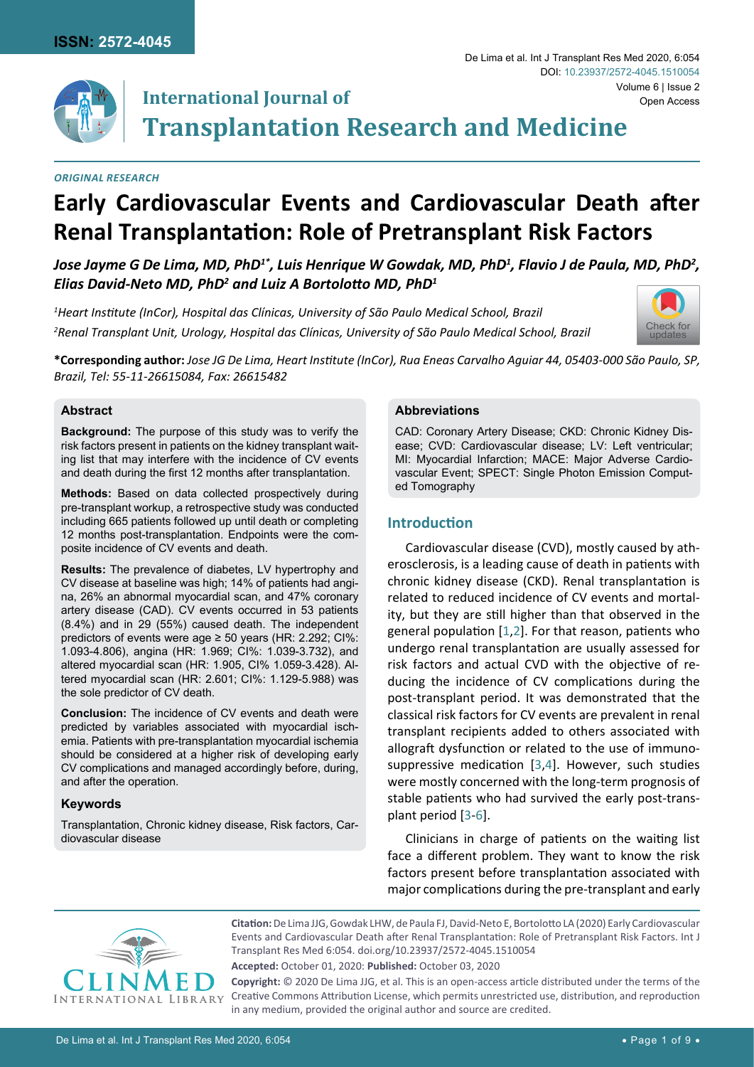

#### *Original Research*

# **Early Cardiovascular Events and Cardiovascular Death after Renal Transplantation: Role of Pretransplant Risk Factors**

*Jose Jayme G De Lima, MD, PhD1\*, Luis Henrique W Gowdak, MD, PhD1 , Flavio J de Paula, MD, PhD2 , Elias David-Neto MD, PhD2 and Luiz A Bortolotto MD, PhD<sup>1</sup>*

*1 Heart Institute (InCor), Hospital das Clínicas, University of São Paulo Medical School, Brazil 2 Renal Transplant Unit, Urology, Hospital das Clínicas, University of São Paulo Medical School, Brazil*



Open Access

**\*Corresponding author:** *Jose JG De Lima, Heart Institute (InCor), Rua Eneas Carvalho Aguiar 44, 05403-000 São Paulo, SP, Brazil, Tel: 55-11-26615084, Fax: 26615482*

## **Abstract**

**Background:** The purpose of this study was to verify the risk factors present in patients on the kidney transplant waiting list that may interfere with the incidence of CV events and death during the first 12 months after transplantation.

**Methods:** Based on data collected prospectively during pre-transplant workup, a retrospective study was conducted including 665 patients followed up until death or completing 12 months post-transplantation. Endpoints were the composite incidence of CV events and death.

**Results:** The prevalence of diabetes, LV hypertrophy and CV disease at baseline was high; 14% of patients had angina, 26% an abnormal myocardial scan, and 47% coronary artery disease (CAD). CV events occurred in 53 patients (8.4%) and in 29 (55%) caused death. The independent predictors of events were age ≥ 50 years (HR: 2.292; CI%: 1.093-4.806), angina (HR: 1.969; CI%: 1.039-3.732), and altered myocardial scan (HR: 1.905, CI% 1.059-3.428). Altered myocardial scan (HR: 2.601; CI%: 1.129-5.988) was the sole predictor of CV death.

**Conclusion:** The incidence of CV events and death were predicted by variables associated with myocardial ischemia. Patients with pre-transplantation myocardial ischemia should be considered at a higher risk of developing early CV complications and managed accordingly before, during, and after the operation.

#### **Keywords**

Transplantation, Chronic kidney disease, Risk factors, Cardiovascular disease

### **Abbreviations**

CAD: Coronary Artery Disease; CKD: Chronic Kidney Disease; CVD: Cardiovascular disease; LV: Left ventricular; MI: Myocardial Infarction; MACE: Major Adverse Cardiovascular Event; SPECT: Single Photon Emission Computed Tomography

De Lima et al. Int J Transplant Res Med 2020, 6:054

DOI: [10.23937/2572-4045.1510054](https://doi.org/10.23937/2572-4045.1510054)

## **Introduction**

Cardiovascular disease (CVD), mostly caused by atherosclerosis, is a leading cause of death in patients with chronic kidney disease (CKD). Renal transplantation is related to reduced incidence of CV events and mortality, but they are still higher than that observed in the general population [\[1](#page-8-0),[2\]](#page-8-1). For that reason, patients who undergo renal transplantation are usually assessed for risk factors and actual CVD with the objective of reducing the incidence of CV complications during the post-transplant period. It was demonstrated that the classical risk factors for CV events are prevalent in renal transplant recipients added to others associated with allograft dysfunction or related to the use of immunosuppressive medication [\[3](#page-8-2),[4](#page-8-3)]. However, such studies were mostly concerned with the long-term prognosis of stable patients who had survived the early post-transplant period [[3](#page-8-2)-[6](#page-8-4)].

Clinicians in charge of patients on the waiting list face a different problem. They want to know the risk factors present before transplantation associated with major complications during the pre-transplant and early



**Citation:** De Lima JJG, Gowdak LHW, de Paula FJ, David-Neto E, Bortolotto LA (2020) Early Cardiovascular Events and Cardiovascular Death after Renal Transplantation: Role of Pretransplant Risk Factors. Int J Transplant Res Med 6:054. [doi.org/10.23937/2572-4045.1510054](https://doi.org/10.23937/2572-4045.1510054)

**Accepted:** October 01, 2020: **Published:** October 03, 2020

**Copyright:** © 2020 De Lima JJG, et al. This is an open-access article distributed under the terms of the Creative Commons Attribution License, which permits unrestricted use, distribution, and reproduction in any medium, provided the original author and source are credited.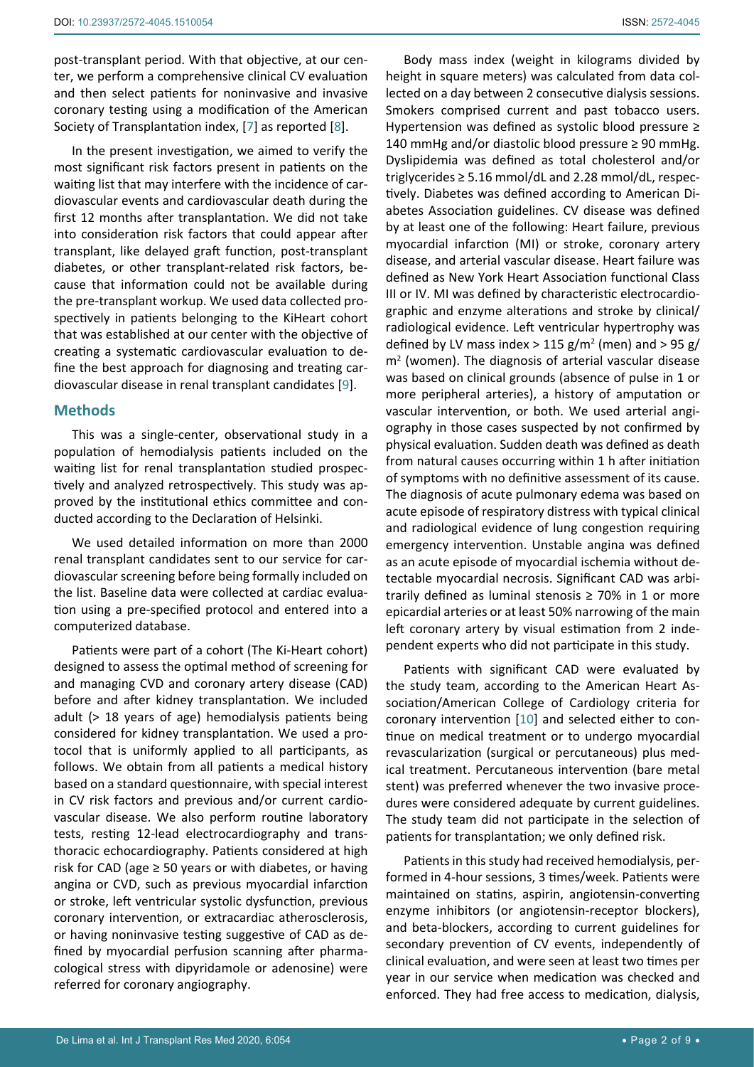In the present investigation, we aimed to verify the most significant risk factors present in patients on the waiting list that may interfere with the incidence of cardiovascular events and cardiovascular death during the first 12 months after transplantation. We did not take into consideration risk factors that could appear after transplant, like delayed graft function, post-transplant diabetes, or other transplant-related risk factors, because that information could not be available during the pre-transplant workup. We used data collected prospectively in patients belonging to the KiHeart cohort that was established at our center with the objective of creating a systematic cardiovascular evaluation to define the best approach for diagnosing and treating cardiovascular disease in renal transplant candidates [\[9\]](#page-8-8).

## **Methods**

This was a single-center, observational study in a population of hemodialysis patients included on the waiting list for renal transplantation studied prospectively and analyzed retrospectively. This study was approved by the institutional ethics committee and conducted according to the Declaration of Helsinki.

We used detailed information on more than 2000 renal transplant candidates sent to our service for cardiovascular screening before being formally included on the list. Baseline data were collected at cardiac evaluation using a pre-specified protocol and entered into a computerized database.

Patients were part of a cohort (The Ki-Heart cohort) designed to assess the optimal method of screening for and managing CVD and coronary artery disease (CAD) before and after kidney transplantation. We included adult (> 18 years of age) hemodialysis patients being considered for kidney transplantation. We used a protocol that is uniformly applied to all participants, as follows. We obtain from all patients a medical history based on a standard questionnaire, with special interest in CV risk factors and previous and/or current cardiovascular disease. We also perform routine laboratory tests, resting 12-lead electrocardiography and transthoracic echocardiography. Patients considered at high risk for CAD (age  $\geq$  50 years or with diabetes, or having angina or CVD, such as previous myocardial infarction or stroke, left ventricular systolic dysfunction, previous coronary intervention, or extracardiac atherosclerosis, or having noninvasive testing suggestive of CAD as defined by myocardial perfusion scanning after pharmacological stress with dipyridamole or adenosine) were referred for coronary angiography.

Body mass index (weight in kilograms divided by height in square meters) was calculated from data collected on a day between 2 consecutive dialysis sessions. Smokers comprised current and past tobacco users. Hypertension was defined as systolic blood pressure ≥ 140 mmHg and/or diastolic blood pressure ≥ 90 mmHg. Dyslipidemia was defined as total cholesterol and/or triglycerides ≥ 5.16 mmol/dL and 2.28 mmol/dL, respectively. Diabetes was defined according to American Diabetes Association guidelines. CV disease was defined by at least one of the following: Heart failure, previous myocardial infarction (MI) or stroke, coronary artery disease, and arterial vascular disease. Heart failure was defined as New York Heart Association functional Class III or IV. MI was defined by characteristic electrocardiographic and enzyme alterations and stroke by clinical/ radiological evidence. Left ventricular hypertrophy was defined by LV mass index > 115  $g/m^2$  (men) and > 95  $g/m^2$ m<sup>2</sup> (women). The diagnosis of arterial vascular disease was based on clinical grounds (absence of pulse in 1 or more peripheral arteries), a history of amputation or vascular intervention, or both. We used arterial angiography in those cases suspected by not confirmed by physical evaluation. Sudden death was defined as death from natural causes occurring within 1 h after initiation of symptoms with no definitive assessment of its cause. The diagnosis of acute pulmonary edema was based on acute episode of respiratory distress with typical clinical and radiological evidence of lung congestion requiring emergency intervention. Unstable angina was defined as an acute episode of myocardial ischemia without detectable myocardial necrosis. Significant CAD was arbitrarily defined as luminal stenosis  $\geq$  70% in 1 or more epicardial arteries or at least 50% narrowing of the main left coronary artery by visual estimation from 2 independent experts who did not participate in this study.

Patients with significant CAD were evaluated by the study team, according to the American Heart Association/American College of Cardiology criteria for coronary intervention [\[10\]](#page-8-5) and selected either to continue on medical treatment or to undergo myocardial revascularization (surgical or percutaneous) plus medical treatment. Percutaneous intervention (bare metal stent) was preferred whenever the two invasive procedures were considered adequate by current guidelines. The study team did not participate in the selection of patients for transplantation; we only defined risk.

Patients in this study had received hemodialysis, performed in 4-hour sessions, 3 times/week. Patients were maintained on statins, aspirin, angiotensin-converting enzyme inhibitors (or angiotensin-receptor blockers), and beta-blockers, according to current guidelines for secondary prevention of CV events, independently of clinical evaluation, and were seen at least two times per year in our service when medication was checked and enforced. They had free access to medication, dialysis,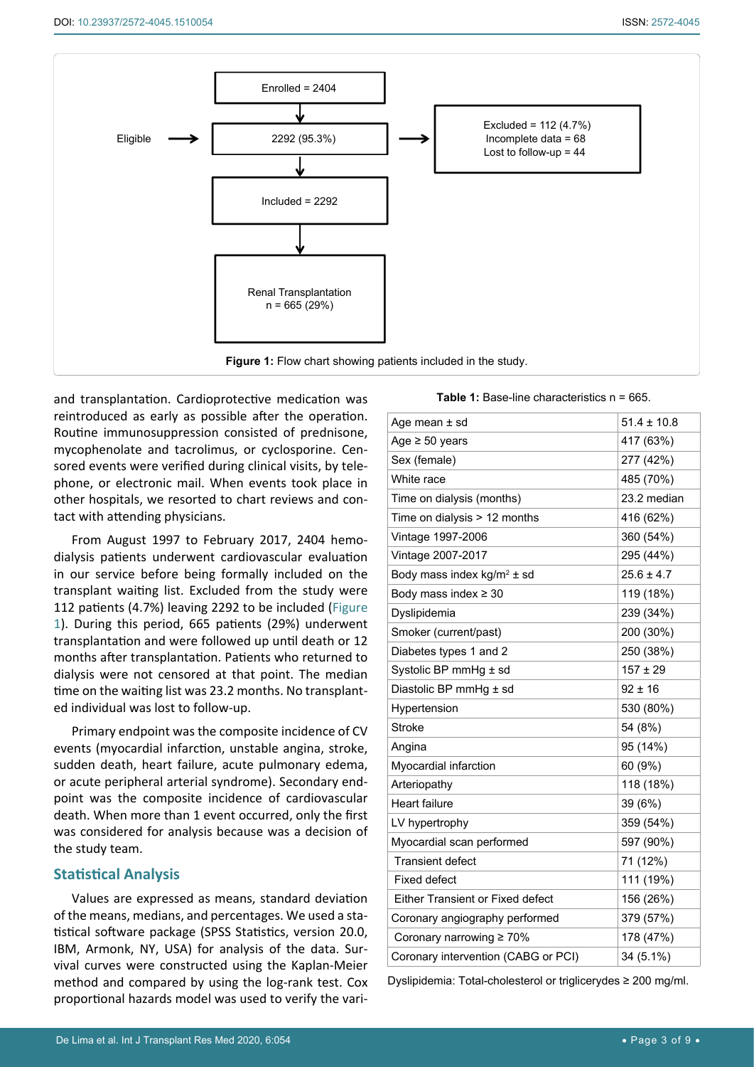<span id="page-2-0"></span>

and transplantation. Cardioprotective medication was reintroduced as early as possible after the operation. Routine immunosuppression consisted of prednisone, mycophenolate and tacrolimus, or cyclosporine. Censored events were verified during clinical visits, by telephone, or electronic mail. When events took place in other hospitals, we resorted to chart reviews and contact with attending physicians.

From August 1997 to February 2017, 2404 hemodialysis patients underwent cardiovascular evaluation in our service before being formally included on the transplant waiting list. Excluded from the study were 112 patients (4.7%) leaving 2292 to be included ([Figure](#page-2-0) [1](#page-2-0)). During this period, 665 patients (29%) underwent transplantation and were followed up until death or 12 months after transplantation. Patients who returned to dialysis were not censored at that point. The median time on the waiting list was 23.2 months. No transplanted individual was lost to follow-up.

Primary endpoint was the composite incidence of CV events (myocardial infarction, unstable angina, stroke, sudden death, heart failure, acute pulmonary edema, or acute peripheral arterial syndrome). Secondary endpoint was the composite incidence of cardiovascular death. When more than 1 event occurred, only the first was considered for analysis because was a decision of the study team.

#### **Statistical Analysis**

Values are expressed as means, standard deviation of the means, medians, and percentages. We used a statistical software package (SPSS Statistics, version 20.0, IBM, Armonk, NY, USA) for analysis of the data. Survival curves were constructed using the Kaplan-Meier method and compared by using the log-rank test. Cox proportional hazards model was used to verify the vari-

<span id="page-2-1"></span>**Table 1:** Base-line characteristics n = 665.

| Age mean ± sd                           | $51.4 \pm 10.8$ |
|-----------------------------------------|-----------------|
| Age $\geq 50$ years                     | 417 (63%)       |
| Sex (female)                            | 277 (42%)       |
| White race                              | 485 (70%)       |
| Time on dialysis (months)               | 23.2 median     |
| Time on dialysis > 12 months            | 416 (62%)       |
| Vintage 1997-2006                       | 360 (54%)       |
| Vintage 2007-2017                       | 295 (44%)       |
| Body mass index $kg/m^2 \pm sd$         | $25.6 \pm 4.7$  |
| Body mass index $\geq 30$               | 119 (18%)       |
| Dyslipidemia                            | 239 (34%)       |
| Smoker (current/past)                   | 200 (30%)       |
| Diabetes types 1 and 2                  | 250 (38%)       |
| Systolic BP mmHg ± sd                   | $157 \pm 29$    |
| Diastolic BP mmHg ± sd                  | $92 \pm 16$     |
| Hypertension                            | 530 (80%)       |
| Stroke                                  | 54 (8%)         |
| Angina                                  | 95 (14%)        |
| Myocardial infarction                   | 60 (9%)         |
| Arteriopathy                            | 118 (18%)       |
| <b>Heart failure</b>                    | 39 (6%)         |
| LV hypertrophy                          | 359 (54%)       |
| Myocardial scan performed               | 597 (90%)       |
| <b>Transient defect</b>                 | 71 (12%)        |
| Fixed defect                            | 111 (19%)       |
| <b>Either Transient or Fixed defect</b> | 156 (26%)       |
| Coronary angiography performed          | 379 (57%)       |
| Coronary narrowing ≥ 70%                | 178 (47%)       |
| Coronary intervention (CABG or PCI)     | 34 (5.1%)       |

Dyslipidemia: Total-cholesterol or triglicerydes ≥ 200 mg/ml.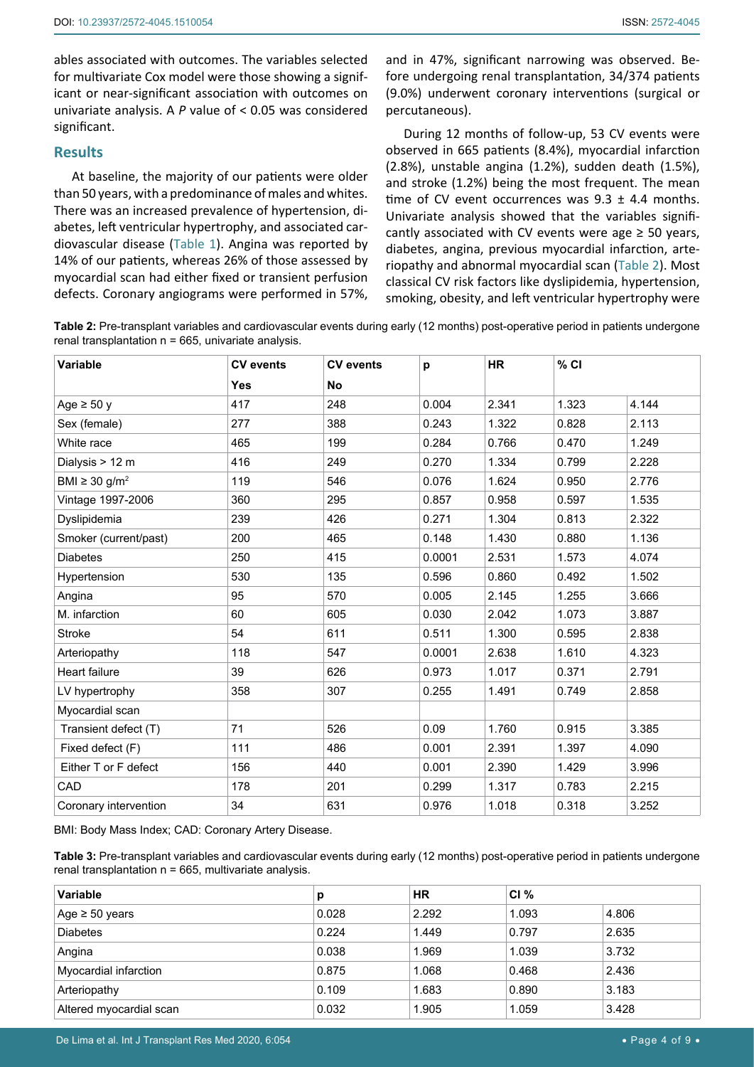ables associated with outcomes. The variables selected for multivariate Cox model were those showing a significant or near-significant association with outcomes on univariate analysis. A *P* value of < 0.05 was considered significant.

### **Results**

At baseline, the majority of our patients were older than 50 years, with a predominance of males and whites. There was an increased prevalence of hypertension, diabetes, left ventricular hypertrophy, and associated cardiovascular disease [\(Table 1\)](#page-2-1). Angina was reported by 14% of our patients, whereas 26% of those assessed by myocardial scan had either fixed or transient perfusion defects. Coronary angiograms were performed in 57%, and in 47%, significant narrowing was observed. Before undergoing renal transplantation, 34/374 patients (9.0%) underwent coronary interventions (surgical or percutaneous).

During 12 months of follow-up, 53 CV events were observed in 665 patients (8.4%), myocardial infarction (2.8%), unstable angina (1.2%), sudden death (1.5%), and stroke (1.2%) being the most frequent. The mean time of CV event occurrences was  $9.3 \pm 4.4$  months. Univariate analysis showed that the variables significantly associated with CV events were age  $\geq$  50 years, diabetes, angina, previous myocardial infarction, arteriopathy and abnormal myocardial scan [\(Table 2\)](#page-3-0). Most classical CV risk factors like dyslipidemia, hypertension, smoking, obesity, and left ventricular hypertrophy were

<span id="page-3-0"></span>**Table 2:** Pre-transplant variables and cardiovascular events during early (12 months) post-operative period in patients undergone renal transplantation  $n = 665$ , univariate analysis.

| <b>Variable</b>                | <b>CV</b> events | <b>CV</b> events | p      | <b>HR</b> | $%$ CI |       |
|--------------------------------|------------------|------------------|--------|-----------|--------|-------|
|                                | Yes              | No               |        |           |        |       |
| Age $\geq 50$ y                | 417              | 248              | 0.004  | 2.341     | 1.323  | 4.144 |
| Sex (female)                   | 277              | 388              | 0.243  | 1.322     | 0.828  | 2.113 |
| White race                     | 465              | 199              | 0.284  | 0.766     | 0.470  | 1.249 |
| Dialysis > 12 m                | 416              | 249              | 0.270  | 1.334     | 0.799  | 2.228 |
| BMI $\geq$ 30 g/m <sup>2</sup> | 119              | 546              | 0.076  | 1.624     | 0.950  | 2.776 |
| Vintage 1997-2006              | 360              | 295              | 0.857  | 0.958     | 0.597  | 1.535 |
| Dyslipidemia                   | 239              | 426              | 0.271  | 1.304     | 0.813  | 2.322 |
| Smoker (current/past)          | 200              | 465              | 0.148  | 1.430     | 0.880  | 1.136 |
| <b>Diabetes</b>                | 250              | 415              | 0.0001 | 2.531     | 1.573  | 4.074 |
| Hypertension                   | 530              | 135              | 0.596  | 0.860     | 0.492  | 1.502 |
| Angina                         | 95               | 570              | 0.005  | 2.145     | 1.255  | 3.666 |
| M. infarction                  | 60               | 605              | 0.030  | 2.042     | 1.073  | 3.887 |
| <b>Stroke</b>                  | 54               | 611              | 0.511  | 1.300     | 0.595  | 2.838 |
| Arteriopathy                   | 118              | 547              | 0.0001 | 2.638     | 1.610  | 4.323 |
| Heart failure                  | 39               | 626              | 0.973  | 1.017     | 0.371  | 2.791 |
| LV hypertrophy                 | 358              | 307              | 0.255  | 1.491     | 0.749  | 2.858 |
| Myocardial scan                |                  |                  |        |           |        |       |
| Transient defect (T)           | 71               | 526              | 0.09   | 1.760     | 0.915  | 3.385 |
| Fixed defect (F)               | 111              | 486              | 0.001  | 2.391     | 1.397  | 4.090 |
| Either T or F defect           | 156              | 440              | 0.001  | 2.390     | 1.429  | 3.996 |
| CAD                            | 178              | 201              | 0.299  | 1.317     | 0.783  | 2.215 |
| Coronary intervention          | 34               | 631              | 0.976  | 1.018     | 0.318  | 3.252 |

BMI: Body Mass Index; CAD: Coronary Artery Disease.

<span id="page-3-1"></span>**Table 3:** Pre-transplant variables and cardiovascular events during early (12 months) post-operative period in patients undergone renal transplantation  $n = 665$ , multivariate analysis.

| <b>Variable</b>         | р     | <b>HR</b> | CI%   |       |
|-------------------------|-------|-----------|-------|-------|
| Age $\geq 50$ years     | 0.028 | 2.292     | 1.093 | 4.806 |
| <b>Diabetes</b>         | 0.224 | 1.449     | 0.797 | 2.635 |
| Angina                  | 0.038 | 1.969     | 1.039 | 3.732 |
| Myocardial infarction   | 0.875 | 1.068     | 0.468 | 2.436 |
| Arteriopathy            | 0.109 | 1.683     | 0.890 | 3.183 |
| Altered myocardial scan | 0.032 | 1.905     | 1.059 | 3.428 |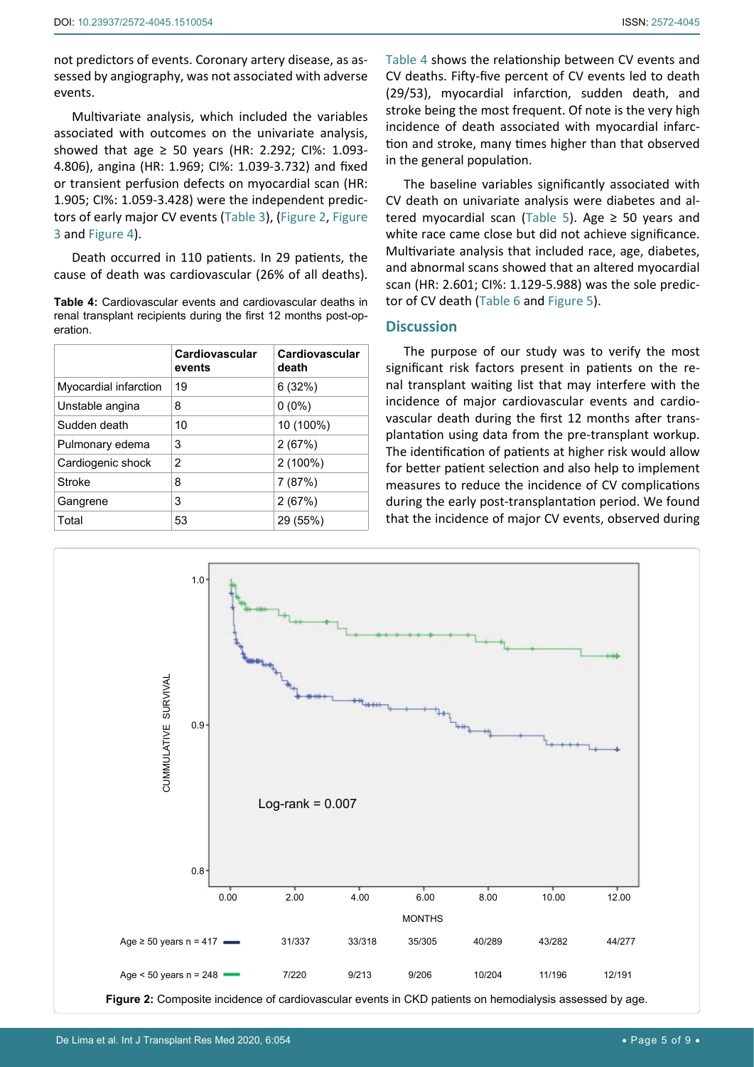not predictors of events. Coronary artery disease, as assessed by angiography, was not associated with adverse events.

Multivariate analysis, which included the variables associated with outcomes on the univariate analysis, showed that age  $\geq$  50 years (HR: 2.292; CI%: 1.093-4.806), angina (HR: 1.969; CI%: 1.039-3.732) and fixed or transient perfusion defects on myocardial scan (HR: 1.905; CI%: 1.059-3.428) were the independent predictors of early major CV events [\(Table 3\)](#page-3-1), ([Figure 2](#page-4-1), [Figure](#page-5-0)  [3](#page-5-0) and [Figure 4\)](#page-5-1).

Death occurred in 110 patients. In 29 patients, the cause of death was cardiovascular (26% of all deaths).

<span id="page-4-0"></span>**Table 4:** Cardiovascular events and cardiovascular deaths in renal transplant recipients during the first 12 months post-operation.

|                       | Cardiovascular<br>events | Cardiovascular<br>death |
|-----------------------|--------------------------|-------------------------|
| Myocardial infarction | 19                       | 6(32%)                  |
| Unstable angina       | 8                        | $0(0\%)$                |
| Sudden death          | 10                       | 10 (100%)               |
| Pulmonary edema       | 3                        | 2(67%)                  |
| Cardiogenic shock     | 2                        | 2 (100%)                |
| Stroke                | 8                        | 7(87%)                  |
| Gangrene              | 3                        | 2(67%)                  |
| Total                 | 53                       | 29 (55%)                |

[Table 4](#page-4-0) shows the relationship between CV events and CV deaths. Fifty-five percent of CV events led to death (29/53), myocardial infarction, sudden death, and stroke being the most frequent. Of note is the very high incidence of death associated with myocardial infarction and stroke, many times higher than that observed in the general population.

The baseline variables significantly associated with CV death on univariate analysis were diabetes and al-tered myocardial scan [\(Table 5\)](#page-6-0). Age  $\geq$  50 years and white race came close but did not achieve significance. Multivariate analysis that included race, age, diabetes, and abnormal scans showed that an altered myocardial scan (HR: 2.601; CI%: 1.129-5.988) was the sole predictor of CV death ([Table 6](#page-7-0) and [Figure 5\)](#page-6-1).

## **Discussion**

The purpose of our study was to verify the most significant risk factors present in patients on the renal transplant waiting list that may interfere with the incidence of major cardiovascular events and cardiovascular death during the first 12 months after transplantation using data from the pre-transplant workup. The identification of patients at higher risk would allow for better patient selection and also help to implement measures to reduce the incidence of CV complications during the early post-transplantation period. We found that the incidence of major CV events, observed during

<span id="page-4-1"></span>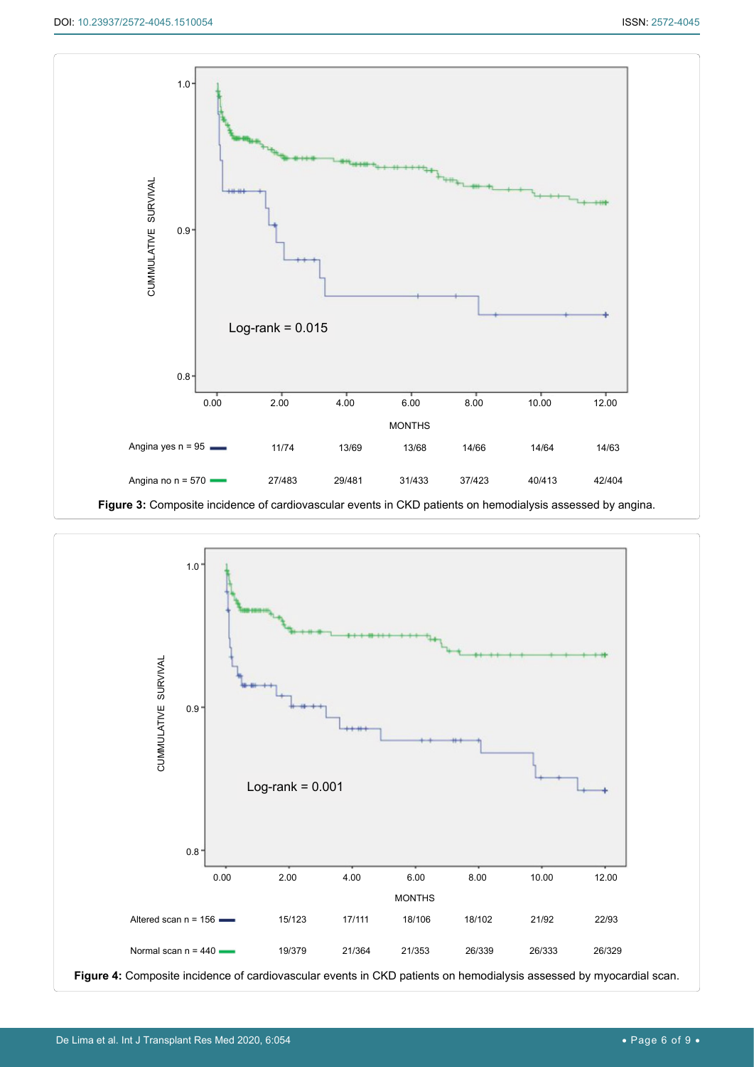<span id="page-5-0"></span>

<span id="page-5-1"></span>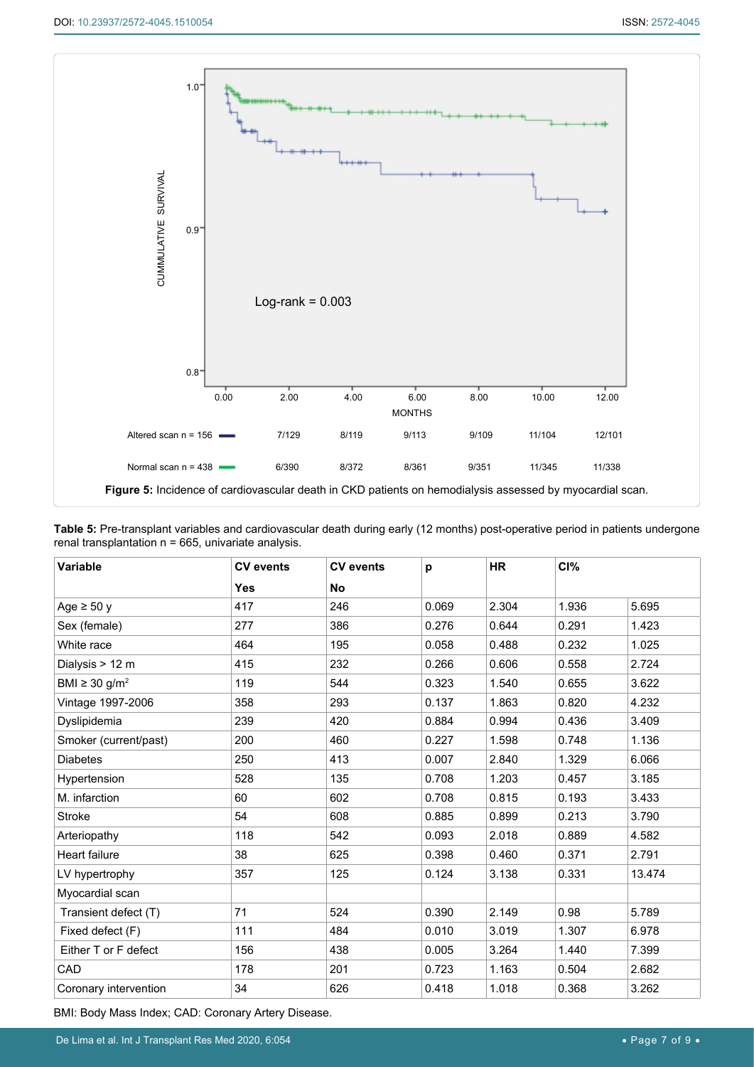<span id="page-6-1"></span>

<span id="page-6-0"></span>

|                                                        | Table 5: Pre-transplant variables and cardiovascular death during early (12 months) post-operative period in patients undergone |  |
|--------------------------------------------------------|---------------------------------------------------------------------------------------------------------------------------------|--|
| renal transplantation $n = 665$ , univariate analysis. |                                                                                                                                 |  |

| Variable                       | <b>CV</b> events | <b>CV</b> events | p     | <b>HR</b> | CI%   |        |
|--------------------------------|------------------|------------------|-------|-----------|-------|--------|
|                                | <b>Yes</b>       | <b>No</b>        |       |           |       |        |
| Age $\geq 50$ y                | 417              | 246              | 0.069 | 2.304     | 1.936 | 5.695  |
| Sex (female)                   | 277              | 386              | 0.276 | 0.644     | 0.291 | 1.423  |
| White race                     | 464              | 195              | 0.058 | 0.488     | 0.232 | 1.025  |
| Dialysis > 12 m                | 415              | 232              | 0.266 | 0.606     | 0.558 | 2.724  |
| BMI $\geq$ 30 g/m <sup>2</sup> | 119              | 544              | 0.323 | 1.540     | 0.655 | 3.622  |
| Vintage 1997-2006              | 358              | 293              | 0.137 | 1.863     | 0.820 | 4.232  |
| Dyslipidemia                   | 239              | 420              | 0.884 | 0.994     | 0.436 | 3.409  |
| Smoker (current/past)          | 200              | 460              | 0.227 | 1.598     | 0.748 | 1.136  |
| <b>Diabetes</b>                | 250              | 413              | 0.007 | 2.840     | 1.329 | 6.066  |
| Hypertension                   | 528              | 135              | 0.708 | 1.203     | 0.457 | 3.185  |
| M. infarction                  | 60               | 602              | 0.708 | 0.815     | 0.193 | 3.433  |
| Stroke                         | 54               | 608              | 0.885 | 0.899     | 0.213 | 3.790  |
| Arteriopathy                   | 118              | 542              | 0.093 | 2.018     | 0.889 | 4.582  |
| <b>Heart failure</b>           | 38               | 625              | 0.398 | 0.460     | 0.371 | 2.791  |
| LV hypertrophy                 | 357              | 125              | 0.124 | 3.138     | 0.331 | 13.474 |
| Myocardial scan                |                  |                  |       |           |       |        |
| Transient defect (T)           | 71               | 524              | 0.390 | 2.149     | 0.98  | 5.789  |
| Fixed defect (F)               | 111              | 484              | 0.010 | 3.019     | 1.307 | 6.978  |
| Either T or F defect           | 156              | 438              | 0.005 | 3.264     | 1.440 | 7.399  |
| CAD                            | 178              | 201              | 0.723 | 1.163     | 0.504 | 2.682  |
| Coronary intervention          | 34               | 626              | 0.418 | 1.018     | 0.368 | 3.262  |

BMI: Body Mass Index; CAD: Coronary Artery Disease.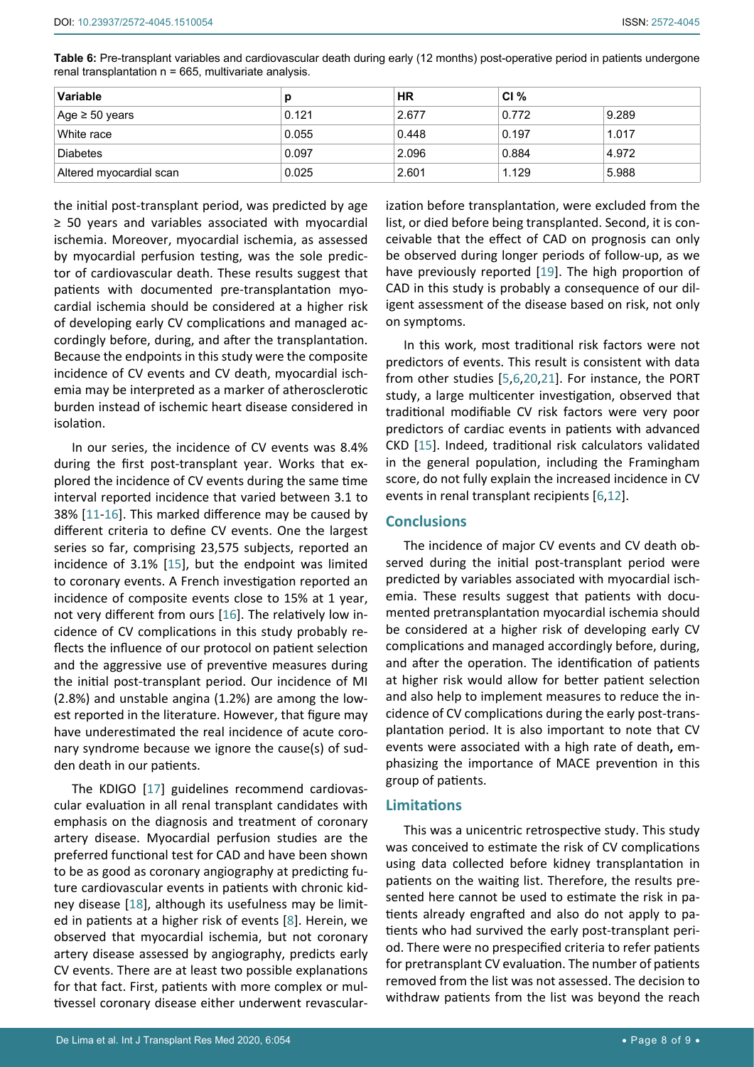<span id="page-7-0"></span>

| Table 6: Pre-transplant variables and cardiovascular death during early (12 months) post-operative period in patients undergone |  |  |
|---------------------------------------------------------------------------------------------------------------------------------|--|--|
| renal transplantation n = 665, multivariate analysis.                                                                           |  |  |

| <b>Variable</b>         | D     | <b>HR</b> | CI $%$ |       |
|-------------------------|-------|-----------|--------|-------|
| Age ≥ 50 years          | 0.121 | 2.677     | 0.772  | 9.289 |
| White race              | 0.055 | 0.448     | 0.197  | 1.017 |
| <b>Diabetes</b>         | 0.097 | 2.096     | 0.884  | 4.972 |
| Altered myocardial scan | 0.025 | 2.601     | 1.129  | 5.988 |

the initial post-transplant period, was predicted by age ≥ 50 years and variables associated with myocardial ischemia. Moreover, myocardial ischemia, as assessed by myocardial perfusion testing, was the sole predictor of cardiovascular death. These results suggest that patients with documented pre-transplantation myocardial ischemia should be considered at a higher risk of developing early CV complications and managed accordingly before, during, and after the transplantation. Because the endpoints in this study were the composite incidence of CV events and CV death, myocardial ischemia may be interpreted as a marker of atherosclerotic burden instead of ischemic heart disease considered in isolation.

In our series, the incidence of CV events was 8.4% during the first post-transplant year. Works that explored the incidence of CV events during the same time interval reported incidence that varied between 3.1 to 38% [[11](#page-8-15)-[16\]](#page-8-16). This marked difference may be caused by different criteria to define CV events. One the largest series so far, comprising 23,575 subjects, reported an incidence of 3.1% [\[15](#page-8-13)], but the endpoint was limited to coronary events. A French investigation reported an incidence of composite events close to 15% at 1 year, not very different from ours [[16\]](#page-8-16). The relatively low incidence of CV complications in this study probably reflects the influence of our protocol on patient selection and the aggressive use of preventive measures during the initial post-transplant period. Our incidence of MI (2.8%) and unstable angina (1.2%) are among the lowest reported in the literature. However, that figure may have underestimated the real incidence of acute coronary syndrome because we ignore the cause(s) of sudden death in our patients.

The KDIGO [[17](#page-8-17)] guidelines recommend cardiovascular evaluation in all renal transplant candidates with emphasis on the diagnosis and treatment of coronary artery disease. Myocardial perfusion studies are the preferred functional test for CAD and have been shown to be as good as coronary angiography at predicting future cardiovascular events in patients with chronic kidney disease [[18](#page-8-18)], although its usefulness may be limited in patients at a higher risk of events [[8](#page-8-7)]. Herein, we observed that myocardial ischemia, but not coronary artery disease assessed by angiography, predicts early CV events. There are at least two possible explanations for that fact. First, patients with more complex or multivessel coronary disease either underwent revascularization before transplantation, were excluded from the list, or died before being transplanted. Second, it is conceivable that the effect of CAD on prognosis can only be observed during longer periods of follow-up, as we have previously reported [[19\]](#page-8-9). The high proportion of CAD in this study is probably a consequence of our diligent assessment of the disease based on risk, not only on symptoms.

In this work, most traditional risk factors were not predictors of events. This result is consistent with data from other studies [[5](#page-8-10),[6](#page-8-4),[20](#page-8-11),[21](#page-8-12)]. For instance, the PORT study, a large multicenter investigation, observed that traditional modifiable CV risk factors were very poor predictors of cardiac events in patients with advanced CKD [\[15](#page-8-13)]. Indeed, traditional risk calculators validated in the general population, including the Framingham score, do not fully explain the increased incidence in CV events in renal transplant recipients [\[6](#page-8-4),[12\]](#page-8-14).

## **Conclusions**

The incidence of major CV events and CV death observed during the initial post-transplant period were predicted by variables associated with myocardial ischemia. These results suggest that patients with documented pretransplantation myocardial ischemia should be considered at a higher risk of developing early CV complications and managed accordingly before, during, and after the operation. The identification of patients at higher risk would allow for better patient selection and also help to implement measures to reduce the incidence of CV complications during the early post-transplantation period. It is also important to note that CV events were associated with a high rate of death**,** emphasizing the importance of MACE prevention in this group of patients.

#### **Limitations**

This was a unicentric retrospective study. This study was conceived to estimate the risk of CV complications using data collected before kidney transplantation in patients on the waiting list. Therefore, the results presented here cannot be used to estimate the risk in patients already engrafted and also do not apply to patients who had survived the early post-transplant period. There were no prespecified criteria to refer patients for pretransplant CV evaluation. The number of patients removed from the list was not assessed. The decision to withdraw patients from the list was beyond the reach